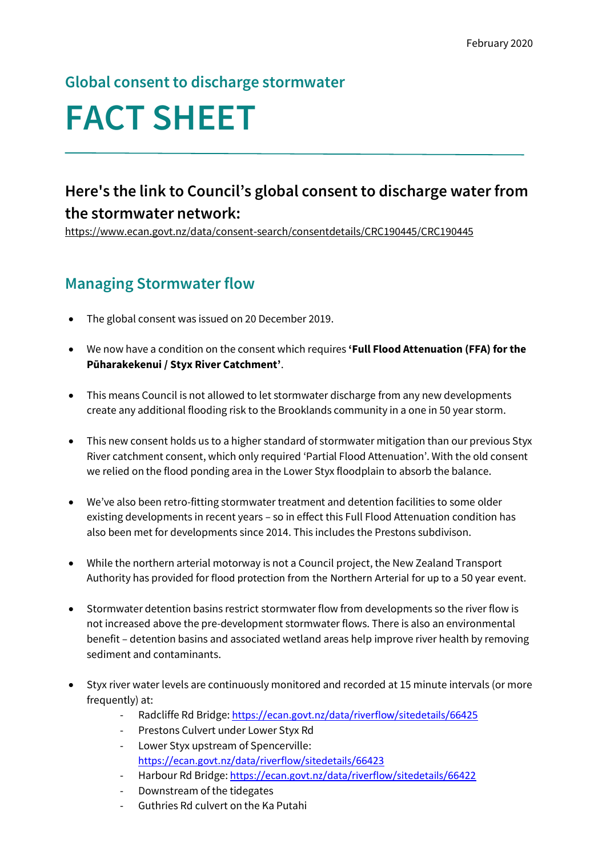## **Global consent to discharge stormwater**

# **FACT SHEET**

# **Here's the link to Council's global consent to discharge water from the stormwater network:**

<https://www.ecan.govt.nz/data/consent-search/consentdetails/CRC190445/CRC190445>

## **Managing Stormwater flow**

- The global consent was issued on 20 December 2019.
- We now have a condition on the consent which requires **'Full Flood Attenuation (FFA) for the Pūharakekenui / Styx River Catchment'**.
- This means Council is not allowed to let stormwater discharge from any new developments create any additional flooding risk to the Brooklands community in a one in 50 year storm.
- This new consent holds us to a higher standard of stormwater mitigation than our previous Styx River catchment consent, which only required 'Partial Flood Attenuation'. With the old consent we relied on the flood ponding area in the Lower Styx floodplain to absorb the balance.
- We've also been retro-fitting stormwater treatment and detention facilities to some older existing developments in recent years – so in effect this Full Flood Attenuation condition has also been met for developments since 2014. This includes the Prestons subdivison.
- While the northern arterial motorway is not a Council project, the New Zealand Transport Authority has provided for flood protection from the Northern Arterial for up to a 50 year event.
- Stormwater detention basins restrict stormwater flow from developments so the river flow is not increased above the pre-development stormwater flows. There is also an environmental benefit – detention basins and associated wetland areas help improve river health by removing sediment and contaminants.
- Styx river water levels are continuously monitored and recorded at 15 minute intervals (or more frequently) at:
	- Radcliffe Rd Bridge: <https://ecan.govt.nz/data/riverflow/sitedetails/66425>
	- Prestons Culvert under Lower Styx Rd
	- Lower Styx upstream of Spencerville: <https://ecan.govt.nz/data/riverflow/sitedetails/66423>
	- Harbour Rd Bridge: <https://ecan.govt.nz/data/riverflow/sitedetails/66422>
	- Downstream of the tidegates
	- Guthries Rd culvert on the Ka Putahi